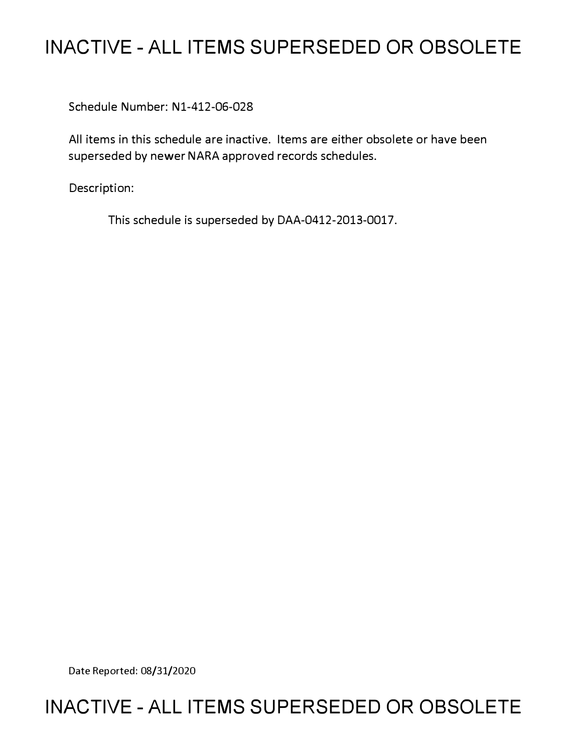# **INACTIVE - ALL ITEMS SUPERSEDED OR OBSOLETE**

Schedule Number: Nl-412-06-028

All items in this schedule are inactive. Items are either obsolete or have been superseded by newer NARA approved records schedules.

Description:

This schedule is superseded by DAA-0412-2013-0017.

Date Reported: 08/31/2020

## **INACTIVE - ALL ITEMS SUPERSEDED OR OBSOLETE**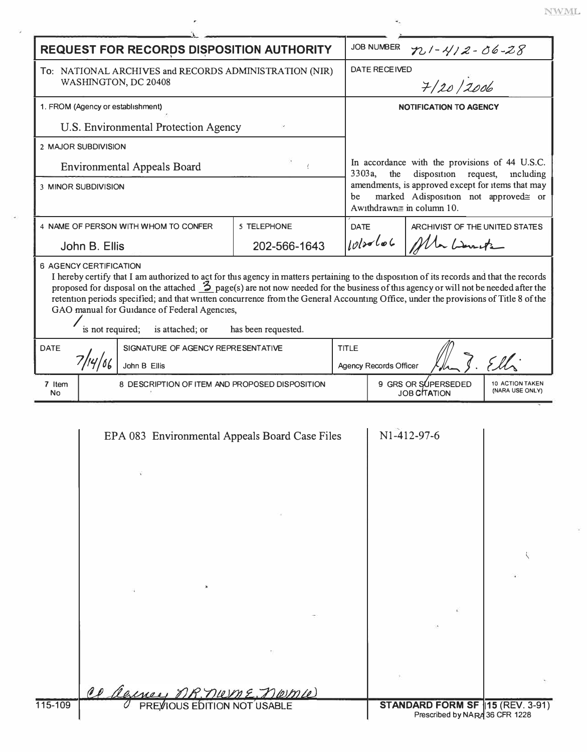|                                                                                | <b>REQUEST FOR RECORDS DISPOSITION AUTHORITY</b>                                                                                     |                                                                                                                                                                                                                                                 |              | <b>JOB NUMBER</b>             | $721 - 412 - 06 - 28$               |                                    |
|--------------------------------------------------------------------------------|--------------------------------------------------------------------------------------------------------------------------------------|-------------------------------------------------------------------------------------------------------------------------------------------------------------------------------------------------------------------------------------------------|--------------|-------------------------------|-------------------------------------|------------------------------------|
| To: NATIONAL ARCHIVES and RECORDS ADMINISTRATION (NIR)<br>WASHINGTON, DC 20408 |                                                                                                                                      | <b>DATE RECEIVED</b><br>7/20/2006<br><b>NOTIFICATION TO AGENCY</b>                                                                                                                                                                              |              |                               |                                     |                                    |
| 1. FROM (Agency or establishment)                                              |                                                                                                                                      |                                                                                                                                                                                                                                                 |              |                               |                                     |                                    |
|                                                                                | U.S. Environmental Protection Agency                                                                                                 |                                                                                                                                                                                                                                                 |              |                               |                                     |                                    |
|                                                                                | 2 MAJOR SUBDIVISION                                                                                                                  |                                                                                                                                                                                                                                                 |              |                               |                                     |                                    |
| <b>Environmental Appeals Board</b><br>3 MINOR SUBDIVISION                      |                                                                                                                                      | In accordance with the provisions of 44 U.S.C.<br>3303a,<br>the<br>disposition<br>request,<br>including<br>amendments, is approved except for items that may<br>marked Adisposition not approved≅ or<br>be<br>Awithdrawn $\equiv$ in column 10. |              |                               |                                     |                                    |
|                                                                                |                                                                                                                                      |                                                                                                                                                                                                                                                 |              |                               |                                     |                                    |
|                                                                                | John B. Ellis                                                                                                                        | 202-566-1643                                                                                                                                                                                                                                    |              | $10120$ loc<br>Ma Lante       |                                     |                                    |
| <b>DATE</b>                                                                    | GAO manual for Guidance of Federal Agencies,<br>is not required;<br>is attached; or<br>SIGNATURE OF AGENCY REPRESENTATIVE<br>7/14/66 | has been requested.                                                                                                                                                                                                                             | <b>TITLE</b> |                               |                                     |                                    |
|                                                                                | John B Ellis                                                                                                                         |                                                                                                                                                                                                                                                 |              | <b>Agency Records Officer</b> |                                     |                                    |
| 7 Item<br>No                                                                   | 8 DESCRIPTION OF ITEM AND PROPOSED DISPOSITION                                                                                       |                                                                                                                                                                                                                                                 |              |                               |                                     |                                    |
|                                                                                |                                                                                                                                      |                                                                                                                                                                                                                                                 |              |                               | 9 GRS OR SUPERSEDED<br>JOB CITATION |                                    |
|                                                                                | EPA 083 Environmental Appeals Board Case Files                                                                                       |                                                                                                                                                                                                                                                 |              |                               | N1-412-97-6                         | 10 ACTION TAKEN<br>(NARA USE ONLY) |
|                                                                                |                                                                                                                                      |                                                                                                                                                                                                                                                 |              |                               |                                     |                                    |
|                                                                                |                                                                                                                                      |                                                                                                                                                                                                                                                 |              |                               |                                     |                                    |
|                                                                                |                                                                                                                                      |                                                                                                                                                                                                                                                 |              |                               |                                     |                                    |
|                                                                                | Cl Clerney MR. niem E. niem We                                                                                                       |                                                                                                                                                                                                                                                 |              |                               |                                     |                                    |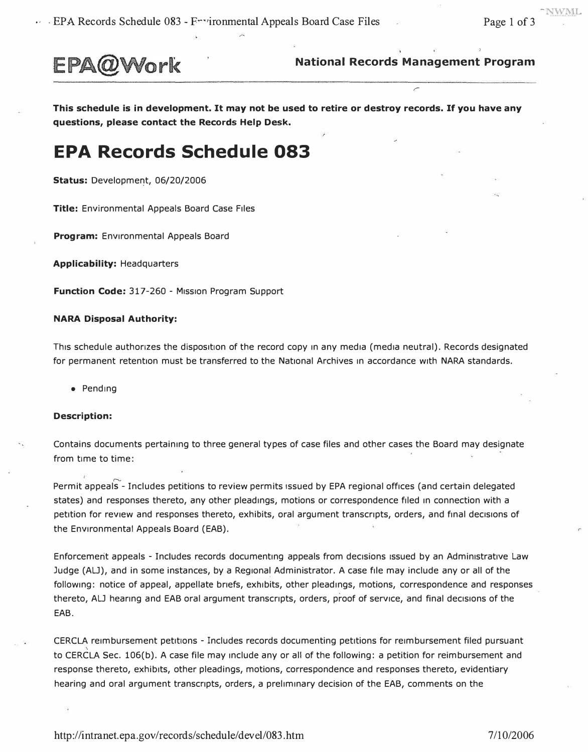

**National Records Management Program** 

*r* 

**This schedule is in development. It may not be used to retire or destroy records. If you have any questions, please contact the Records Help Desk.** 

### **EPA Records Schedule 083**

**Status: Development, 06/20/2006** 

**Title:** Environmental Appeals Board Case Files

**Program:** Environmental Appeals Board

**Applicability:** Headquarters

Function Code: 317-260 - Mission Program Support

#### **NARA Disposal Authority:**

This schedule authorizes the disposition of the record copy in any media (media neutral). Records designated for permanent retention must be transferred to the National Archives in accordance with NARA standards.

• Pending

#### **Description:**

Contains documents pertaining to three general types of case files and other cases the Board may designate from time to time:

Permit appeals - Includes petitions to review permits issued by EPA regional offices (and certain delegated states) and responses thereto, any other pleadings, motions or correspondence filed in connection with a petition for review and responses thereto, exhibits, oral argument transcripts, orders, and final decisions of the Environmental Appeals Board (EAB).

Enforcement appeals - Includes records documenting appeals from decisions issued by an Administrative Law Judge (ALJ), and in some instances, by a Regional Administrator. A case file may include any or all of the following: notice of appeal, appellate briefs, exhibits, other pleadings, motions, correspondence and responses thereto, ALJ hearing and EAB oral argument transcripts, orders, proof of service, and final decisions of the EAB.

CERCLA reimbursement petitions - Includes records documenting petitions for reimbursement filed pursuant to CERCLA Sec. 106(b). A case file may include any or all of the following: a petition for reimbursement and response thereto, exhibits, other pleadings, motions, correspondence and responses thereto, evidentiary hearing and oral argument transcripts, orders, a preliminary decision of the EAB, comments on the

<http://intranet.epa.gov/records/>schedule/devel/083.htm 7/10/2006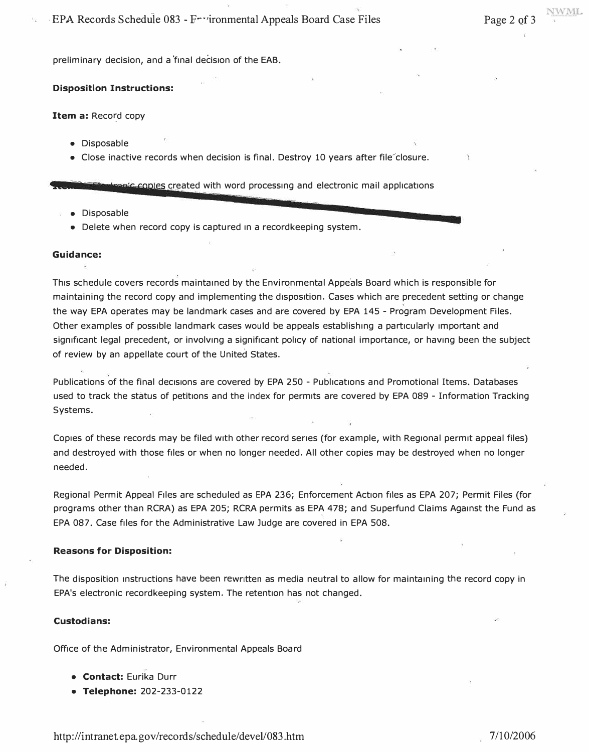**NWML** 

**preliminary decision, and a 'final decision of the EAB.** 

#### **Disposition Instructions:**

**Item a: Record copy** 

- **Disposable**
- Close inactive records when decision is final. Destroy 10 years after file<sup>-</sup>closure.

**Exanic copies created with word processing and electronic mail applications** 

- **Disposable**
- **Delete when record copy is captured in a recordkeeping system.**

#### **Guidance:**

**This schedule covers records maintained by the Environmental Appe'als Board which is responsible for**  maintaining the record copy and implementing the disposition. Cases which are precedent setting or change **the way EPA operates may be landmark cases and are covered by EPA 145 - Program Development Files. Other examples of possible landmark cases would be appeals establishing a particularly important and significant legal precedent, or involving a significant policy of national importance, or having been the subject of review by an appellate court of the United States.** 

Publications of the final decisions are covered by EPA 250 - Publications and Promotional Items. Databases **used to track the status of petitions and the index for permits are covered by EPA 089 - Information Tracking Systems.** 

**Copies of these records may be filed with other record series (for example, with Regional permit appeal files) and destroyed with those files or when no longer needed. All other copies may be destroyed when no longer needed.** 

**Regional Permit Appeal Files are scheduled as EPA 236; Enforcement Action files as EPA 207; Permit Files (for programs other than RCRA) as EPA 205; RCRA permits as EPA 478; and Superfund Claims Against the Fund as EPA 087. Case files for the Administrative Law Judge are covered in EPA 508.** 

#### **Reasons for Disposition:**

**The disposition instructions have been rewritten as media neutral to allow for maintaining the record copy in EPA's electronic recordkeeping system. The retention has not changed.** 

#### **Custodians:**

**Office of the Administrator, Environmental Appeals Board** 

- **Contact: Eurika Durr**
- **Telephone: 202-233-0122**